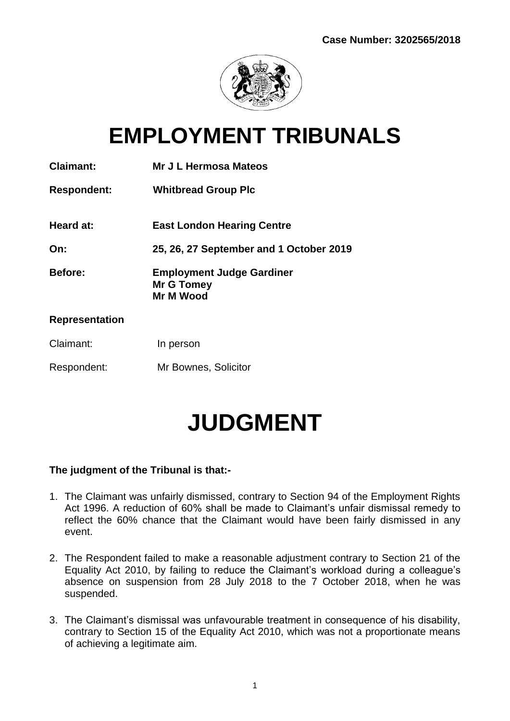

# **EMPLOYMENT TRIBUNALS**

| <b>Claimant:</b>      | Mr J L Hermosa Mateos                                                     |
|-----------------------|---------------------------------------------------------------------------|
| <b>Respondent:</b>    | <b>Whitbread Group Plc</b>                                                |
| Heard at:             | <b>East London Hearing Centre</b>                                         |
| On:                   | 25, 26, 27 September and 1 October 2019                                   |
| <b>Before:</b>        | <b>Employment Judge Gardiner</b><br><b>Mr G Tomey</b><br><b>Mr M Wood</b> |
| <b>Representation</b> |                                                                           |

# Claimant: In person

Respondent: Mr Bownes, Solicitor

# **JUDGMENT**

# **The judgment of the Tribunal is that:-**

- 1. The Claimant was unfairly dismissed, contrary to Section 94 of the Employment Rights Act 1996. A reduction of 60% shall be made to Claimant's unfair dismissal remedy to reflect the 60% chance that the Claimant would have been fairly dismissed in any event.
- 2. The Respondent failed to make a reasonable adjustment contrary to Section 21 of the Equality Act 2010, by failing to reduce the Claimant's workload during a colleague's absence on suspension from 28 July 2018 to the 7 October 2018, when he was suspended.
- 3. The Claimant's dismissal was unfavourable treatment in consequence of his disability, contrary to Section 15 of the Equality Act 2010, which was not a proportionate means of achieving a legitimate aim.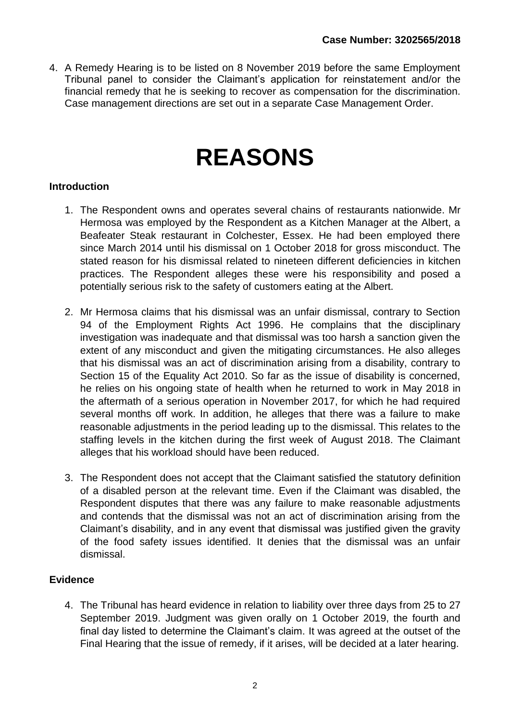4. A Remedy Hearing is to be listed on 8 November 2019 before the same Employment Tribunal panel to consider the Claimant's application for reinstatement and/or the financial remedy that he is seeking to recover as compensation for the discrimination. Case management directions are set out in a separate Case Management Order.

# **REASONS**

#### **Introduction**

- 1. The Respondent owns and operates several chains of restaurants nationwide. Mr Hermosa was employed by the Respondent as a Kitchen Manager at the Albert, a Beafeater Steak restaurant in Colchester, Essex. He had been employed there since March 2014 until his dismissal on 1 October 2018 for gross misconduct. The stated reason for his dismissal related to nineteen different deficiencies in kitchen practices. The Respondent alleges these were his responsibility and posed a potentially serious risk to the safety of customers eating at the Albert.
- 2. Mr Hermosa claims that his dismissal was an unfair dismissal, contrary to Section 94 of the Employment Rights Act 1996. He complains that the disciplinary investigation was inadequate and that dismissal was too harsh a sanction given the extent of any misconduct and given the mitigating circumstances. He also alleges that his dismissal was an act of discrimination arising from a disability, contrary to Section 15 of the Equality Act 2010. So far as the issue of disability is concerned, he relies on his ongoing state of health when he returned to work in May 2018 in the aftermath of a serious operation in November 2017, for which he had required several months off work. In addition, he alleges that there was a failure to make reasonable adjustments in the period leading up to the dismissal. This relates to the staffing levels in the kitchen during the first week of August 2018. The Claimant alleges that his workload should have been reduced.
- 3. The Respondent does not accept that the Claimant satisfied the statutory definition of a disabled person at the relevant time. Even if the Claimant was disabled, the Respondent disputes that there was any failure to make reasonable adjustments and contends that the dismissal was not an act of discrimination arising from the Claimant's disability, and in any event that dismissal was justified given the gravity of the food safety issues identified. It denies that the dismissal was an unfair dismissal.

# **Evidence**

4. The Tribunal has heard evidence in relation to liability over three days from 25 to 27 September 2019. Judgment was given orally on 1 October 2019, the fourth and final day listed to determine the Claimant's claim. It was agreed at the outset of the Final Hearing that the issue of remedy, if it arises, will be decided at a later hearing.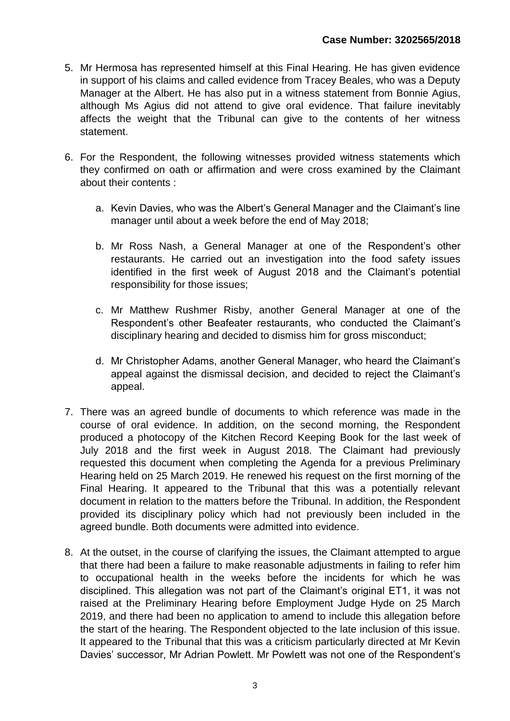- 5. Mr Hermosa has represented himself at this Final Hearing. He has given evidence in support of his claims and called evidence from Tracey Beales, who was a Deputy Manager at the Albert. He has also put in a witness statement from Bonnie Agius, although Ms Agius did not attend to give oral evidence. That failure inevitably affects the weight that the Tribunal can give to the contents of her witness statement.
- 6. For the Respondent, the following witnesses provided witness statements which they confirmed on oath or affirmation and were cross examined by the Claimant about their contents :
	- a. Kevin Davies, who was the Albert's General Manager and the Claimant's line manager until about a week before the end of May 2018;
	- b. Mr Ross Nash, a General Manager at one of the Respondent's other restaurants. He carried out an investigation into the food safety issues identified in the first week of August 2018 and the Claimant's potential responsibility for those issues;
	- c. Mr Matthew Rushmer Risby, another General Manager at one of the Respondent's other Beafeater restaurants, who conducted the Claimant's disciplinary hearing and decided to dismiss him for gross misconduct;
	- d. Mr Christopher Adams, another General Manager, who heard the Claimant's appeal against the dismissal decision, and decided to reject the Claimant's appeal.
- 7. There was an agreed bundle of documents to which reference was made in the course of oral evidence. In addition, on the second morning, the Respondent produced a photocopy of the Kitchen Record Keeping Book for the last week of July 2018 and the first week in August 2018. The Claimant had previously requested this document when completing the Agenda for a previous Preliminary Hearing held on 25 March 2019. He renewed his request on the first morning of the Final Hearing. It appeared to the Tribunal that this was a potentially relevant document in relation to the matters before the Tribunal. In addition, the Respondent provided its disciplinary policy which had not previously been included in the agreed bundle. Both documents were admitted into evidence.
- 8. At the outset, in the course of clarifying the issues, the Claimant attempted to argue that there had been a failure to make reasonable adjustments in failing to refer him to occupational health in the weeks before the incidents for which he was disciplined. This allegation was not part of the Claimant's original ET1, it was not raised at the Preliminary Hearing before Employment Judge Hyde on 25 March 2019, and there had been no application to amend to include this allegation before the start of the hearing. The Respondent objected to the late inclusion of this issue. It appeared to the Tribunal that this was a criticism particularly directed at Mr Kevin Davies' successor, Mr Adrian Powlett. Mr Powlett was not one of the Respondent's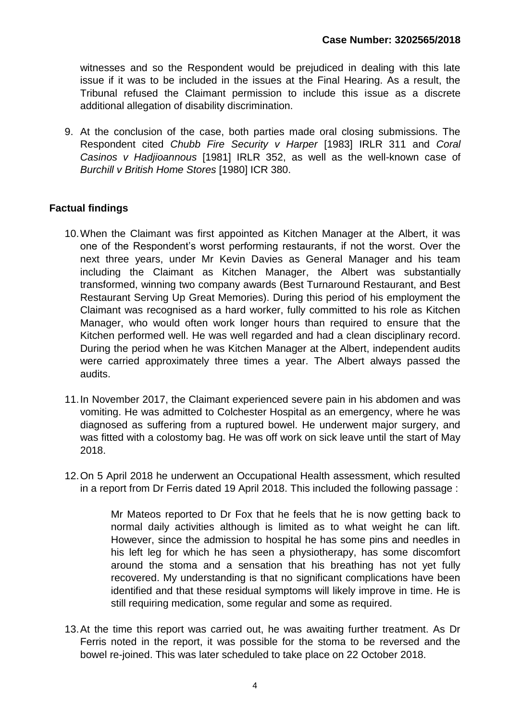witnesses and so the Respondent would be prejudiced in dealing with this late issue if it was to be included in the issues at the Final Hearing. As a result, the Tribunal refused the Claimant permission to include this issue as a discrete additional allegation of disability discrimination.

9. At the conclusion of the case, both parties made oral closing submissions. The Respondent cited *Chubb Fire Security v Harper* [1983] IRLR 311 and *Coral Casinos v Hadjioannous* [1981] IRLR 352, as well as the well-known case of *Burchill v British Home Stores* [1980] ICR 380.

# **Factual findings**

- 10.When the Claimant was first appointed as Kitchen Manager at the Albert, it was one of the Respondent's worst performing restaurants, if not the worst. Over the next three years, under Mr Kevin Davies as General Manager and his team including the Claimant as Kitchen Manager, the Albert was substantially transformed, winning two company awards (Best Turnaround Restaurant, and Best Restaurant Serving Up Great Memories). During this period of his employment the Claimant was recognised as a hard worker, fully committed to his role as Kitchen Manager, who would often work longer hours than required to ensure that the Kitchen performed well. He was well regarded and had a clean disciplinary record. During the period when he was Kitchen Manager at the Albert, independent audits were carried approximately three times a year. The Albert always passed the audits.
- 11.In November 2017, the Claimant experienced severe pain in his abdomen and was vomiting. He was admitted to Colchester Hospital as an emergency, where he was diagnosed as suffering from a ruptured bowel. He underwent major surgery, and was fitted with a colostomy bag. He was off work on sick leave until the start of May 2018.
- 12.On 5 April 2018 he underwent an Occupational Health assessment, which resulted in a report from Dr Ferris dated 19 April 2018. This included the following passage :

Mr Mateos reported to Dr Fox that he feels that he is now getting back to normal daily activities although is limited as to what weight he can lift. However, since the admission to hospital he has some pins and needles in his left leg for which he has seen a physiotherapy, has some discomfort around the stoma and a sensation that his breathing has not yet fully recovered. My understanding is that no significant complications have been identified and that these residual symptoms will likely improve in time. He is still requiring medication, some regular and some as required.

13.At the time this report was carried out, he was awaiting further treatment. As Dr Ferris noted in the report, it was possible for the stoma to be reversed and the bowel re-joined. This was later scheduled to take place on 22 October 2018.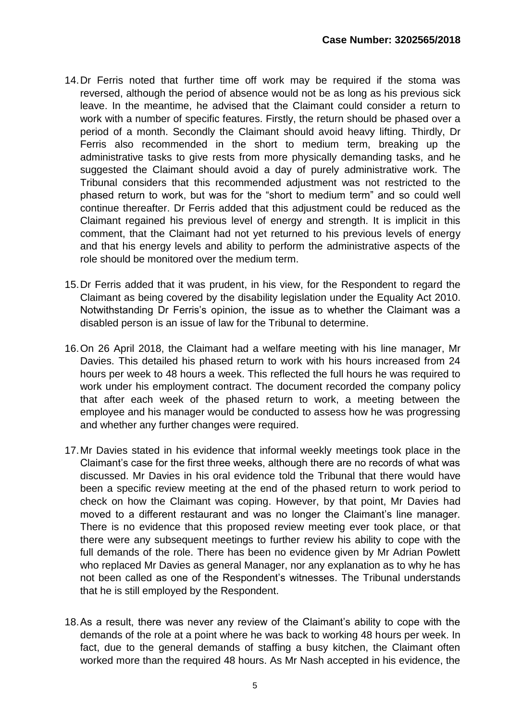- 14.Dr Ferris noted that further time off work may be required if the stoma was reversed, although the period of absence would not be as long as his previous sick leave. In the meantime, he advised that the Claimant could consider a return to work with a number of specific features. Firstly, the return should be phased over a period of a month. Secondly the Claimant should avoid heavy lifting. Thirdly, Dr Ferris also recommended in the short to medium term, breaking up the administrative tasks to give rests from more physically demanding tasks, and he suggested the Claimant should avoid a day of purely administrative work. The Tribunal considers that this recommended adjustment was not restricted to the phased return to work, but was for the "short to medium term" and so could well continue thereafter. Dr Ferris added that this adjustment could be reduced as the Claimant regained his previous level of energy and strength. It is implicit in this comment, that the Claimant had not yet returned to his previous levels of energy and that his energy levels and ability to perform the administrative aspects of the role should be monitored over the medium term.
- 15.Dr Ferris added that it was prudent, in his view, for the Respondent to regard the Claimant as being covered by the disability legislation under the Equality Act 2010. Notwithstanding Dr Ferris's opinion, the issue as to whether the Claimant was a disabled person is an issue of law for the Tribunal to determine.
- 16.On 26 April 2018, the Claimant had a welfare meeting with his line manager, Mr Davies. This detailed his phased return to work with his hours increased from 24 hours per week to 48 hours a week. This reflected the full hours he was required to work under his employment contract. The document recorded the company policy that after each week of the phased return to work, a meeting between the employee and his manager would be conducted to assess how he was progressing and whether any further changes were required.
- 17.Mr Davies stated in his evidence that informal weekly meetings took place in the Claimant's case for the first three weeks, although there are no records of what was discussed. Mr Davies in his oral evidence told the Tribunal that there would have been a specific review meeting at the end of the phased return to work period to check on how the Claimant was coping. However, by that point, Mr Davies had moved to a different restaurant and was no longer the Claimant's line manager. There is no evidence that this proposed review meeting ever took place, or that there were any subsequent meetings to further review his ability to cope with the full demands of the role. There has been no evidence given by Mr Adrian Powlett who replaced Mr Davies as general Manager, nor any explanation as to why he has not been called as one of the Respondent's witnesses. The Tribunal understands that he is still employed by the Respondent.
- 18.As a result, there was never any review of the Claimant's ability to cope with the demands of the role at a point where he was back to working 48 hours per week. In fact, due to the general demands of staffing a busy kitchen, the Claimant often worked more than the required 48 hours. As Mr Nash accepted in his evidence, the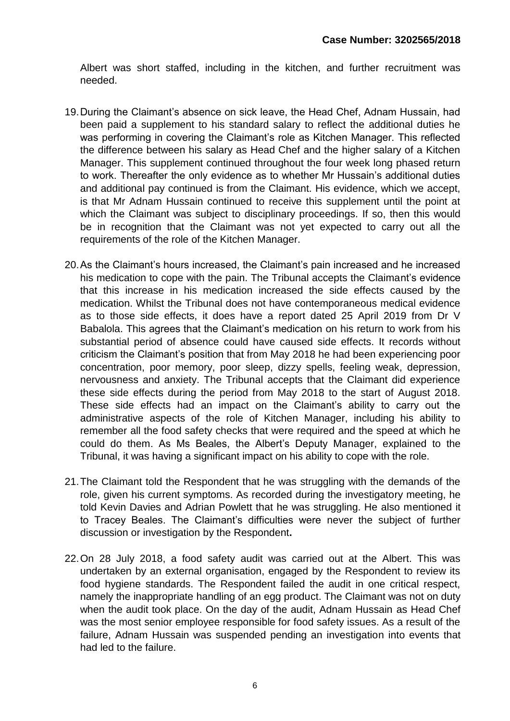Albert was short staffed, including in the kitchen, and further recruitment was needed.

- 19.During the Claimant's absence on sick leave, the Head Chef, Adnam Hussain, had been paid a supplement to his standard salary to reflect the additional duties he was performing in covering the Claimant's role as Kitchen Manager. This reflected the difference between his salary as Head Chef and the higher salary of a Kitchen Manager. This supplement continued throughout the four week long phased return to work. Thereafter the only evidence as to whether Mr Hussain's additional duties and additional pay continued is from the Claimant. His evidence, which we accept, is that Mr Adnam Hussain continued to receive this supplement until the point at which the Claimant was subject to disciplinary proceedings. If so, then this would be in recognition that the Claimant was not yet expected to carry out all the requirements of the role of the Kitchen Manager.
- 20.As the Claimant's hours increased, the Claimant's pain increased and he increased his medication to cope with the pain. The Tribunal accepts the Claimant's evidence that this increase in his medication increased the side effects caused by the medication. Whilst the Tribunal does not have contemporaneous medical evidence as to those side effects, it does have a report dated 25 April 2019 from Dr V Babalola. This agrees that the Claimant's medication on his return to work from his substantial period of absence could have caused side effects. It records without criticism the Claimant's position that from May 2018 he had been experiencing poor concentration, poor memory, poor sleep, dizzy spells, feeling weak, depression, nervousness and anxiety. The Tribunal accepts that the Claimant did experience these side effects during the period from May 2018 to the start of August 2018. These side effects had an impact on the Claimant's ability to carry out the administrative aspects of the role of Kitchen Manager, including his ability to remember all the food safety checks that were required and the speed at which he could do them. As Ms Beales, the Albert's Deputy Manager, explained to the Tribunal, it was having a significant impact on his ability to cope with the role.
- 21.The Claimant told the Respondent that he was struggling with the demands of the role, given his current symptoms. As recorded during the investigatory meeting, he told Kevin Davies and Adrian Powlett that he was struggling. He also mentioned it to Tracey Beales. The Claimant's difficulties were never the subject of further discussion or investigation by the Respondent**.**
- 22.On 28 July 2018, a food safety audit was carried out at the Albert. This was undertaken by an external organisation, engaged by the Respondent to review its food hygiene standards. The Respondent failed the audit in one critical respect, namely the inappropriate handling of an egg product. The Claimant was not on duty when the audit took place. On the day of the audit, Adnam Hussain as Head Chef was the most senior employee responsible for food safety issues. As a result of the failure, Adnam Hussain was suspended pending an investigation into events that had led to the failure.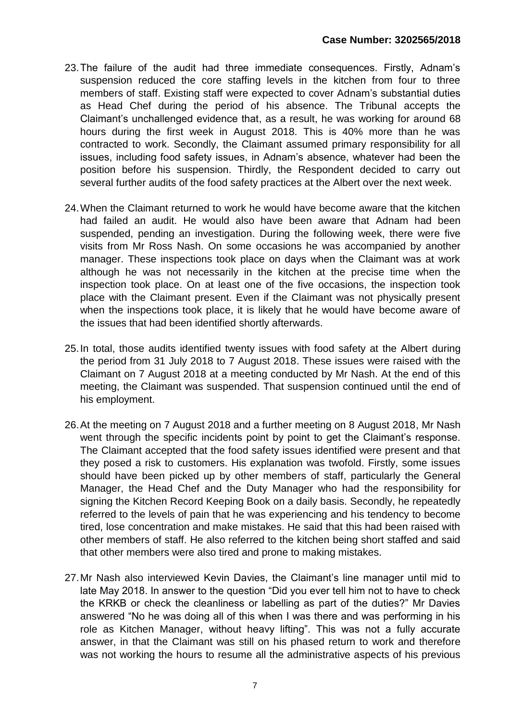- 23.The failure of the audit had three immediate consequences. Firstly, Adnam's suspension reduced the core staffing levels in the kitchen from four to three members of staff. Existing staff were expected to cover Adnam's substantial duties as Head Chef during the period of his absence. The Tribunal accepts the Claimant's unchallenged evidence that, as a result, he was working for around 68 hours during the first week in August 2018. This is 40% more than he was contracted to work. Secondly, the Claimant assumed primary responsibility for all issues, including food safety issues, in Adnam's absence, whatever had been the position before his suspension. Thirdly, the Respondent decided to carry out several further audits of the food safety practices at the Albert over the next week.
- 24.When the Claimant returned to work he would have become aware that the kitchen had failed an audit. He would also have been aware that Adnam had been suspended, pending an investigation. During the following week, there were five visits from Mr Ross Nash. On some occasions he was accompanied by another manager. These inspections took place on days when the Claimant was at work although he was not necessarily in the kitchen at the precise time when the inspection took place. On at least one of the five occasions, the inspection took place with the Claimant present. Even if the Claimant was not physically present when the inspections took place, it is likely that he would have become aware of the issues that had been identified shortly afterwards.
- 25.In total, those audits identified twenty issues with food safety at the Albert during the period from 31 July 2018 to 7 August 2018. These issues were raised with the Claimant on 7 August 2018 at a meeting conducted by Mr Nash. At the end of this meeting, the Claimant was suspended. That suspension continued until the end of his employment.
- 26.At the meeting on 7 August 2018 and a further meeting on 8 August 2018, Mr Nash went through the specific incidents point by point to get the Claimant's response. The Claimant accepted that the food safety issues identified were present and that they posed a risk to customers. His explanation was twofold. Firstly, some issues should have been picked up by other members of staff, particularly the General Manager, the Head Chef and the Duty Manager who had the responsibility for signing the Kitchen Record Keeping Book on a daily basis. Secondly, he repeatedly referred to the levels of pain that he was experiencing and his tendency to become tired, lose concentration and make mistakes. He said that this had been raised with other members of staff. He also referred to the kitchen being short staffed and said that other members were also tired and prone to making mistakes.
- 27.Mr Nash also interviewed Kevin Davies, the Claimant's line manager until mid to late May 2018. In answer to the question "Did you ever tell him not to have to check the KRKB or check the cleanliness or labelling as part of the duties?" Mr Davies answered "No he was doing all of this when I was there and was performing in his role as Kitchen Manager, without heavy lifting". This was not a fully accurate answer, in that the Claimant was still on his phased return to work and therefore was not working the hours to resume all the administrative aspects of his previous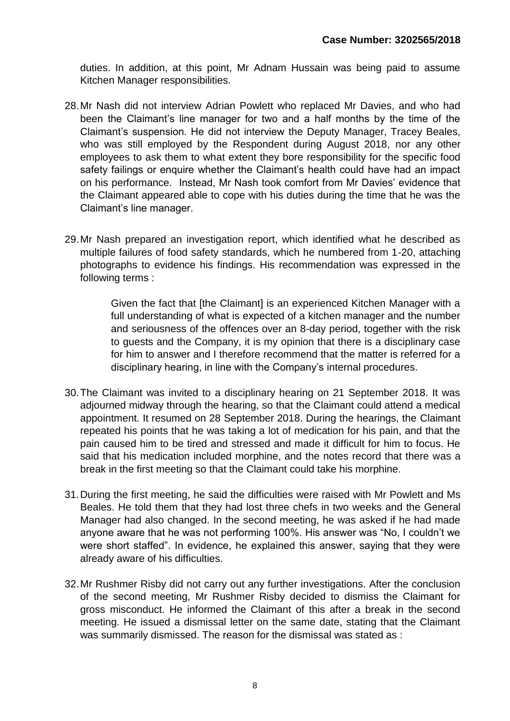duties. In addition, at this point, Mr Adnam Hussain was being paid to assume Kitchen Manager responsibilities.

- 28.Mr Nash did not interview Adrian Powlett who replaced Mr Davies, and who had been the Claimant's line manager for two and a half months by the time of the Claimant's suspension. He did not interview the Deputy Manager, Tracey Beales, who was still employed by the Respondent during August 2018, nor any other employees to ask them to what extent they bore responsibility for the specific food safety failings or enquire whether the Claimant's health could have had an impact on his performance. Instead, Mr Nash took comfort from Mr Davies' evidence that the Claimant appeared able to cope with his duties during the time that he was the Claimant's line manager.
- 29.Mr Nash prepared an investigation report, which identified what he described as multiple failures of food safety standards, which he numbered from 1-20, attaching photographs to evidence his findings. His recommendation was expressed in the following terms :

Given the fact that [the Claimant] is an experienced Kitchen Manager with a full understanding of what is expected of a kitchen manager and the number and seriousness of the offences over an 8-day period, together with the risk to guests and the Company, it is my opinion that there is a disciplinary case for him to answer and I therefore recommend that the matter is referred for a disciplinary hearing, in line with the Company's internal procedures.

- 30.The Claimant was invited to a disciplinary hearing on 21 September 2018. It was adjourned midway through the hearing, so that the Claimant could attend a medical appointment. It resumed on 28 September 2018. During the hearings, the Claimant repeated his points that he was taking a lot of medication for his pain, and that the pain caused him to be tired and stressed and made it difficult for him to focus. He said that his medication included morphine, and the notes record that there was a break in the first meeting so that the Claimant could take his morphine.
- 31.During the first meeting, he said the difficulties were raised with Mr Powlett and Ms Beales. He told them that they had lost three chefs in two weeks and the General Manager had also changed. In the second meeting, he was asked if he had made anyone aware that he was not performing 100%. His answer was "No, I couldn't we were short staffed". In evidence, he explained this answer, saying that they were already aware of his difficulties.
- 32.Mr Rushmer Risby did not carry out any further investigations. After the conclusion of the second meeting, Mr Rushmer Risby decided to dismiss the Claimant for gross misconduct. He informed the Claimant of this after a break in the second meeting. He issued a dismissal letter on the same date, stating that the Claimant was summarily dismissed. The reason for the dismissal was stated as :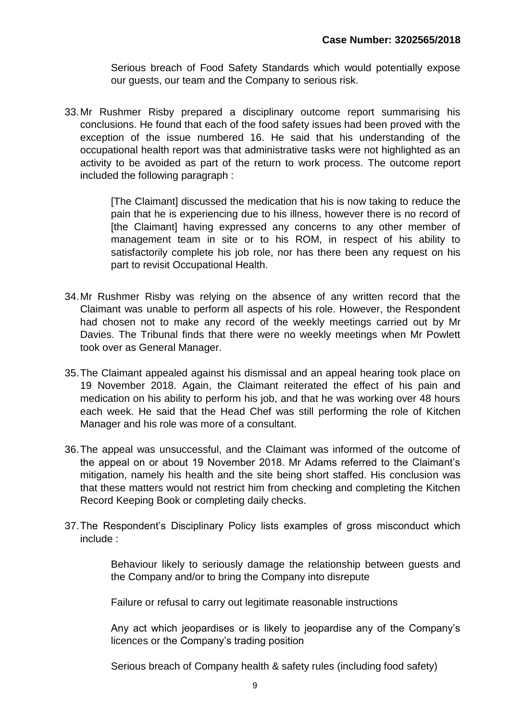Serious breach of Food Safety Standards which would potentially expose our guests, our team and the Company to serious risk.

33.Mr Rushmer Risby prepared a disciplinary outcome report summarising his conclusions. He found that each of the food safety issues had been proved with the exception of the issue numbered 16. He said that his understanding of the occupational health report was that administrative tasks were not highlighted as an activity to be avoided as part of the return to work process. The outcome report included the following paragraph :

> [The Claimant] discussed the medication that his is now taking to reduce the pain that he is experiencing due to his illness, however there is no record of [the Claimant] having expressed any concerns to any other member of management team in site or to his ROM, in respect of his ability to satisfactorily complete his job role, nor has there been any request on his part to revisit Occupational Health.

- 34.Mr Rushmer Risby was relying on the absence of any written record that the Claimant was unable to perform all aspects of his role. However, the Respondent had chosen not to make any record of the weekly meetings carried out by Mr Davies. The Tribunal finds that there were no weekly meetings when Mr Powlett took over as General Manager.
- 35.The Claimant appealed against his dismissal and an appeal hearing took place on 19 November 2018. Again, the Claimant reiterated the effect of his pain and medication on his ability to perform his job, and that he was working over 48 hours each week. He said that the Head Chef was still performing the role of Kitchen Manager and his role was more of a consultant.
- 36.The appeal was unsuccessful, and the Claimant was informed of the outcome of the appeal on or about 19 November 2018. Mr Adams referred to the Claimant's mitigation, namely his health and the site being short staffed. His conclusion was that these matters would not restrict him from checking and completing the Kitchen Record Keeping Book or completing daily checks.
- 37.The Respondent's Disciplinary Policy lists examples of gross misconduct which include :

Behaviour likely to seriously damage the relationship between guests and the Company and/or to bring the Company into disrepute

Failure or refusal to carry out legitimate reasonable instructions

Any act which jeopardises or is likely to jeopardise any of the Company's licences or the Company's trading position

Serious breach of Company health & safety rules (including food safety)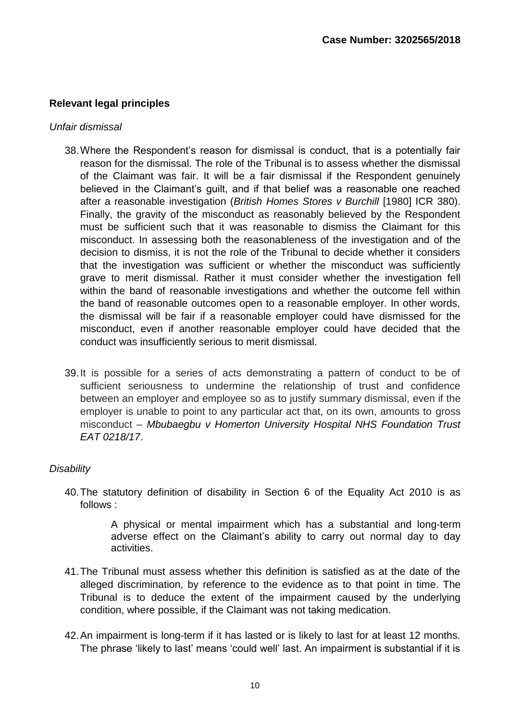### **Relevant legal principles**

#### *Unfair dismissal*

- 38.Where the Respondent's reason for dismissal is conduct, that is a potentially fair reason for the dismissal. The role of the Tribunal is to assess whether the dismissal of the Claimant was fair. It will be a fair dismissal if the Respondent genuinely believed in the Claimant's guilt, and if that belief was a reasonable one reached after a reasonable investigation (*British Homes Stores v Burchill* [1980] ICR 380). Finally, the gravity of the misconduct as reasonably believed by the Respondent must be sufficient such that it was reasonable to dismiss the Claimant for this misconduct. In assessing both the reasonableness of the investigation and of the decision to dismiss, it is not the role of the Tribunal to decide whether it considers that the investigation was sufficient or whether the misconduct was sufficiently grave to merit dismissal. Rather it must consider whether the investigation fell within the band of reasonable investigations and whether the outcome fell within the band of reasonable outcomes open to a reasonable employer. In other words, the dismissal will be fair if a reasonable employer could have dismissed for the misconduct, even if another reasonable employer could have decided that the conduct was insufficiently serious to merit dismissal.
- 39.It is possible for a series of acts demonstrating a pattern of conduct to be of sufficient seriousness to undermine the relationship of trust and confidence between an employer and employee so as to justify summary dismissal, even if the employer is unable to point to any particular act that, on its own, amounts to gross misconduct – *[Mbubaegbu v Homerton University Hospital NHS Foundation Trust](https://uk.practicallaw.thomsonreuters.com/Link/Document/FullText?findType=Y&serNum=2044560590&pubNum=8105&originatingDoc=IF0EC693055E011E79153C39CF1D5DBAB&refType=UC&originationContext=document&transitionType=CommentaryUKLink&contextData=(sc.Search))  [EAT 0218/17](https://uk.practicallaw.thomsonreuters.com/Link/Document/FullText?findType=Y&serNum=2044560590&pubNum=8105&originatingDoc=IF0EC693055E011E79153C39CF1D5DBAB&refType=UC&originationContext=document&transitionType=CommentaryUKLink&contextData=(sc.Search))*.

#### *Disability*

40.The statutory definition of disability in Section 6 of the Equality Act 2010 is as follows :

> A physical or mental impairment which has a substantial and long-term adverse effect on the Claimant's ability to carry out normal day to day activities.

- 41.The Tribunal must assess whether this definition is satisfied as at the date of the alleged discrimination, by reference to the evidence as to that point in time. The Tribunal is to deduce the extent of the impairment caused by the underlying condition, where possible, if the Claimant was not taking medication.
- 42.An impairment is long-term if it has lasted or is likely to last for at least 12 months. The phrase 'likely to last' means 'could well' last. An impairment is substantial if it is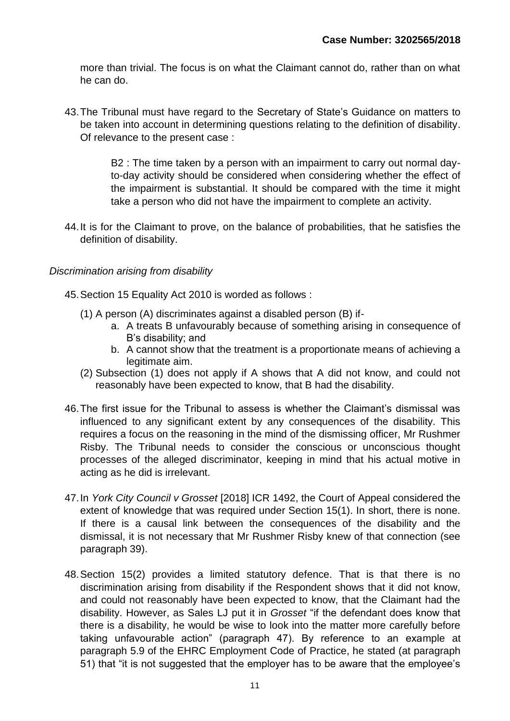more than trivial. The focus is on what the Claimant cannot do, rather than on what he can do.

43.The Tribunal must have regard to the Secretary of State's Guidance on matters to be taken into account in determining questions relating to the definition of disability. Of relevance to the present case :

> B2 : The time taken by a person with an impairment to carry out normal dayto-day activity should be considered when considering whether the effect of the impairment is substantial. It should be compared with the time it might take a person who did not have the impairment to complete an activity.

44.It is for the Claimant to prove, on the balance of probabilities, that he satisfies the definition of disability.

#### *Discrimination arising from disability*

- 45.Section 15 Equality Act 2010 is worded as follows :
	- (1) A person (A) discriminates against a disabled person (B) if
		- a. A treats B unfavourably because of something arising in consequence of B's disability; and
		- b. A cannot show that the treatment is a proportionate means of achieving a legitimate aim.
	- (2) Subsection (1) does not apply if A shows that A did not know, and could not reasonably have been expected to know, that B had the disability.
- 46.The first issue for the Tribunal to assess is whether the Claimant's dismissal was influenced to any significant extent by any consequences of the disability. This requires a focus on the reasoning in the mind of the dismissing officer, Mr Rushmer Risby. The Tribunal needs to consider the conscious or unconscious thought processes of the alleged discriminator, keeping in mind that his actual motive in acting as he did is irrelevant.
- 47.In *York City Council v Grosset* [2018] ICR 1492, the Court of Appeal considered the extent of knowledge that was required under Section 15(1). In short, there is none. If there is a causal link between the consequences of the disability and the dismissal, it is not necessary that Mr Rushmer Risby knew of that connection (see paragraph 39).
- 48.Section 15(2) provides a limited statutory defence. That is that there is no discrimination arising from disability if the Respondent shows that it did not know, and could not reasonably have been expected to know, that the Claimant had the disability. However, as Sales LJ put it in *Grosset* "if the defendant does know that there is a disability, he would be wise to look into the matter more carefully before taking unfavourable action" (paragraph 47). By reference to an example at paragraph 5.9 of the EHRC Employment Code of Practice, he stated (at paragraph 51) that "it is not suggested that the employer has to be aware that the employee's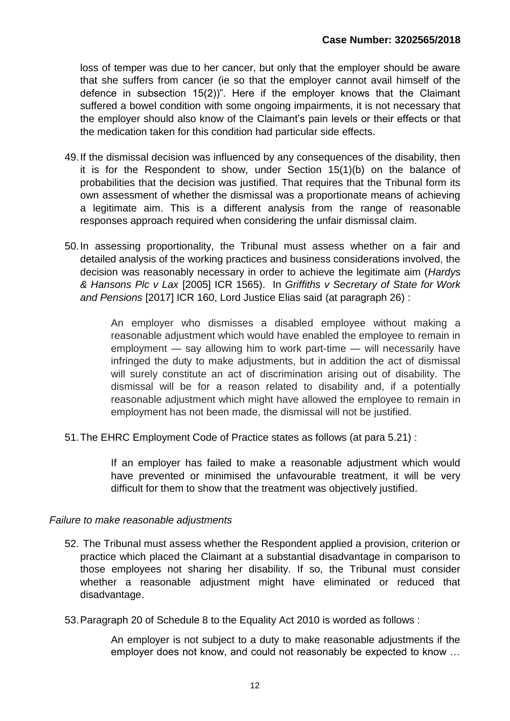loss of temper was due to her cancer, but only that the employer should be aware that she suffers from cancer (ie so that the employer cannot avail himself of the defence in subsection 15(2))". Here if the employer knows that the Claimant suffered a bowel condition with some ongoing impairments, it is not necessary that the employer should also know of the Claimant's pain levels or their effects or that the medication taken for this condition had particular side effects.

- 49.If the dismissal decision was influenced by any consequences of the disability, then it is for the Respondent to show, under Section 15(1)(b) on the balance of probabilities that the decision was justified. That requires that the Tribunal form its own assessment of whether the dismissal was a proportionate means of achieving a legitimate aim. This is a different analysis from the range of reasonable responses approach required when considering the unfair dismissal claim.
- 50.In assessing proportionality, the Tribunal must assess whether on a fair and detailed analysis of the working practices and business considerations involved, the decision was reasonably necessary in order to achieve the legitimate aim (*Hardys & Hansons Plc v Lax* [2005] ICR 1565). In *Griffiths v Secretary of State for Work and Pensions* [2017] ICR 160, Lord Justice Elias said (at paragraph 26) :

An employer who dismisses a disabled employee without making a reasonable adjustment which would have enabled the employee to remain in employment — say allowing him to work part-time — will necessarily have infringed the duty to make adjustments, but in addition the act of dismissal will surely constitute an act of discrimination arising out of disability. The dismissal will be for a reason related to disability and, if a potentially reasonable adjustment which might have allowed the employee to remain in employment has not been made, the dismissal will not be justified.

51.The EHRC Employment Code of Practice states as follows (at para 5.21) :

If an employer has failed to make a reasonable adjustment which would have prevented or minimised the unfavourable treatment, it will be very difficult for them to show that the treatment was objectively justified.

#### *Failure to make reasonable adjustments*

- 52. The Tribunal must assess whether the Respondent applied a provision, criterion or practice which placed the Claimant at a substantial disadvantage in comparison to those employees not sharing her disability. If so, the Tribunal must consider whether a reasonable adjustment might have eliminated or reduced that disadvantage.
- 53.Paragraph 20 of Schedule 8 to the Equality Act 2010 is worded as follows :

An employer is not subject to a duty to make reasonable adjustments if the employer does not know, and could not reasonably be expected to know …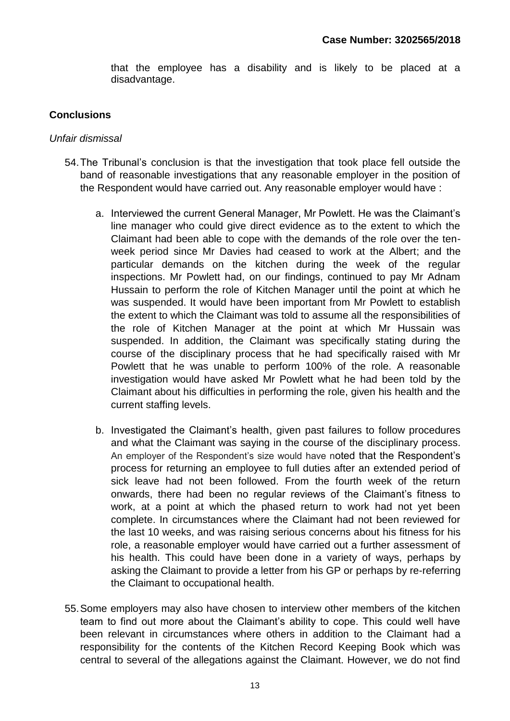that the employee has a disability and is likely to be placed at a disadvantage.

#### **Conclusions**

#### *Unfair dismissal*

- 54.The Tribunal's conclusion is that the investigation that took place fell outside the band of reasonable investigations that any reasonable employer in the position of the Respondent would have carried out. Any reasonable employer would have :
	- a. Interviewed the current General Manager, Mr Powlett. He was the Claimant's line manager who could give direct evidence as to the extent to which the Claimant had been able to cope with the demands of the role over the tenweek period since Mr Davies had ceased to work at the Albert; and the particular demands on the kitchen during the week of the regular inspections. Mr Powlett had, on our findings, continued to pay Mr Adnam Hussain to perform the role of Kitchen Manager until the point at which he was suspended. It would have been important from Mr Powlett to establish the extent to which the Claimant was told to assume all the responsibilities of the role of Kitchen Manager at the point at which Mr Hussain was suspended. In addition, the Claimant was specifically stating during the course of the disciplinary process that he had specifically raised with Mr Powlett that he was unable to perform 100% of the role. A reasonable investigation would have asked Mr Powlett what he had been told by the Claimant about his difficulties in performing the role, given his health and the current staffing levels.
	- b. Investigated the Claimant's health, given past failures to follow procedures and what the Claimant was saying in the course of the disciplinary process. An employer of the Respondent's size would have noted that the Respondent's process for returning an employee to full duties after an extended period of sick leave had not been followed. From the fourth week of the return onwards, there had been no regular reviews of the Claimant's fitness to work, at a point at which the phased return to work had not yet been complete. In circumstances where the Claimant had not been reviewed for the last 10 weeks, and was raising serious concerns about his fitness for his role, a reasonable employer would have carried out a further assessment of his health. This could have been done in a variety of ways, perhaps by asking the Claimant to provide a letter from his GP or perhaps by re-referring the Claimant to occupational health.
- 55.Some employers may also have chosen to interview other members of the kitchen team to find out more about the Claimant's ability to cope. This could well have been relevant in circumstances where others in addition to the Claimant had a responsibility for the contents of the Kitchen Record Keeping Book which was central to several of the allegations against the Claimant. However, we do not find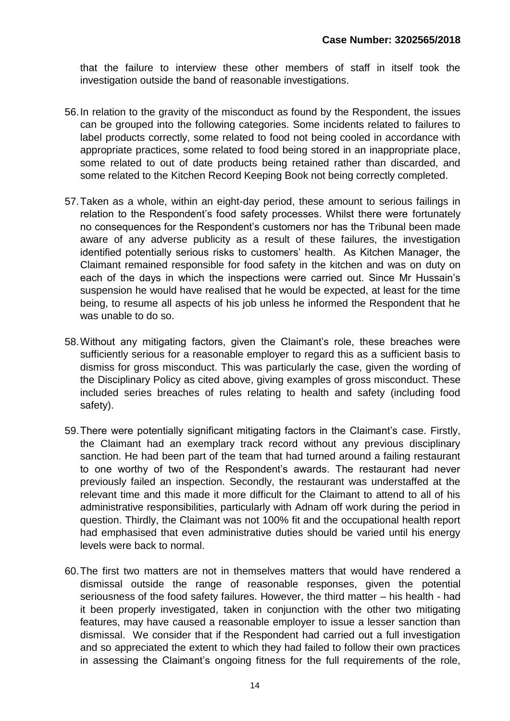that the failure to interview these other members of staff in itself took the investigation outside the band of reasonable investigations.

- 56.In relation to the gravity of the misconduct as found by the Respondent, the issues can be grouped into the following categories. Some incidents related to failures to label products correctly, some related to food not being cooled in accordance with appropriate practices, some related to food being stored in an inappropriate place, some related to out of date products being retained rather than discarded, and some related to the Kitchen Record Keeping Book not being correctly completed.
- 57.Taken as a whole, within an eight-day period, these amount to serious failings in relation to the Respondent's food safety processes. Whilst there were fortunately no consequences for the Respondent's customers nor has the Tribunal been made aware of any adverse publicity as a result of these failures, the investigation identified potentially serious risks to customers' health. As Kitchen Manager, the Claimant remained responsible for food safety in the kitchen and was on duty on each of the days in which the inspections were carried out. Since Mr Hussain's suspension he would have realised that he would be expected, at least for the time being, to resume all aspects of his job unless he informed the Respondent that he was unable to do so.
- 58.Without any mitigating factors, given the Claimant's role, these breaches were sufficiently serious for a reasonable employer to regard this as a sufficient basis to dismiss for gross misconduct. This was particularly the case, given the wording of the Disciplinary Policy as cited above, giving examples of gross misconduct. These included series breaches of rules relating to health and safety (including food safety).
- 59.There were potentially significant mitigating factors in the Claimant's case. Firstly, the Claimant had an exemplary track record without any previous disciplinary sanction. He had been part of the team that had turned around a failing restaurant to one worthy of two of the Respondent's awards. The restaurant had never previously failed an inspection. Secondly, the restaurant was understaffed at the relevant time and this made it more difficult for the Claimant to attend to all of his administrative responsibilities, particularly with Adnam off work during the period in question. Thirdly, the Claimant was not 100% fit and the occupational health report had emphasised that even administrative duties should be varied until his energy levels were back to normal.
- 60.The first two matters are not in themselves matters that would have rendered a dismissal outside the range of reasonable responses, given the potential seriousness of the food safety failures. However, the third matter – his health - had it been properly investigated, taken in conjunction with the other two mitigating features, may have caused a reasonable employer to issue a lesser sanction than dismissal. We consider that if the Respondent had carried out a full investigation and so appreciated the extent to which they had failed to follow their own practices in assessing the Claimant's ongoing fitness for the full requirements of the role,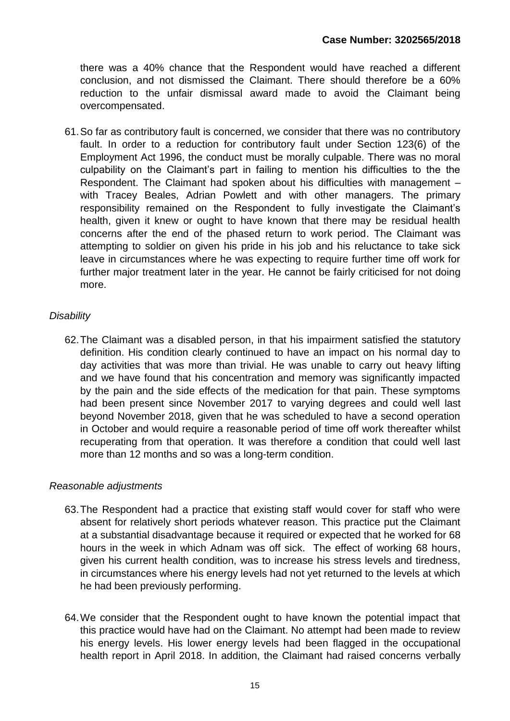there was a 40% chance that the Respondent would have reached a different conclusion, and not dismissed the Claimant. There should therefore be a 60% reduction to the unfair dismissal award made to avoid the Claimant being overcompensated.

61.So far as contributory fault is concerned, we consider that there was no contributory fault. In order to a reduction for contributory fault under Section 123(6) of the Employment Act 1996, the conduct must be morally culpable. There was no moral culpability on the Claimant's part in failing to mention his difficulties to the the Respondent. The Claimant had spoken about his difficulties with management – with Tracey Beales, Adrian Powlett and with other managers. The primary responsibility remained on the Respondent to fully investigate the Claimant's health, given it knew or ought to have known that there may be residual health concerns after the end of the phased return to work period. The Claimant was attempting to soldier on given his pride in his job and his reluctance to take sick leave in circumstances where he was expecting to require further time off work for further major treatment later in the year. He cannot be fairly criticised for not doing more.

# *Disability*

62.The Claimant was a disabled person, in that his impairment satisfied the statutory definition. His condition clearly continued to have an impact on his normal day to day activities that was more than trivial. He was unable to carry out heavy lifting and we have found that his concentration and memory was significantly impacted by the pain and the side effects of the medication for that pain. These symptoms had been present since November 2017 to varying degrees and could well last beyond November 2018, given that he was scheduled to have a second operation in October and would require a reasonable period of time off work thereafter whilst recuperating from that operation. It was therefore a condition that could well last more than 12 months and so was a long-term condition.

#### *Reasonable adjustments*

- 63.The Respondent had a practice that existing staff would cover for staff who were absent for relatively short periods whatever reason. This practice put the Claimant at a substantial disadvantage because it required or expected that he worked for 68 hours in the week in which Adnam was off sick. The effect of working 68 hours, given his current health condition, was to increase his stress levels and tiredness, in circumstances where his energy levels had not yet returned to the levels at which he had been previously performing.
- 64.We consider that the Respondent ought to have known the potential impact that this practice would have had on the Claimant. No attempt had been made to review his energy levels. His lower energy levels had been flagged in the occupational health report in April 2018. In addition, the Claimant had raised concerns verbally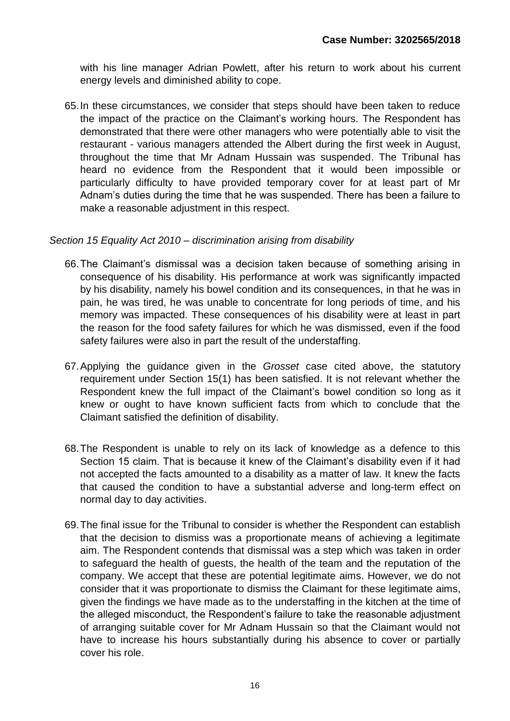with his line manager Adrian Powlett, after his return to work about his current energy levels and diminished ability to cope.

65.In these circumstances, we consider that steps should have been taken to reduce the impact of the practice on the Claimant's working hours. The Respondent has demonstrated that there were other managers who were potentially able to visit the restaurant - various managers attended the Albert during the first week in August, throughout the time that Mr Adnam Hussain was suspended. The Tribunal has heard no evidence from the Respondent that it would been impossible or particularly difficulty to have provided temporary cover for at least part of Mr Adnam's duties during the time that he was suspended. There has been a failure to make a reasonable adjustment in this respect.

#### *Section 15 Equality Act 2010 – discrimination arising from disability*

- 66.The Claimant's dismissal was a decision taken because of something arising in consequence of his disability. His performance at work was significantly impacted by his disability, namely his bowel condition and its consequences, in that he was in pain, he was tired, he was unable to concentrate for long periods of time, and his memory was impacted. These consequences of his disability were at least in part the reason for the food safety failures for which he was dismissed, even if the food safety failures were also in part the result of the understaffing.
- 67.Applying the guidance given in the *Grosset* case cited above, the statutory requirement under Section 15(1) has been satisfied. It is not relevant whether the Respondent knew the full impact of the Claimant's bowel condition so long as it knew or ought to have known sufficient facts from which to conclude that the Claimant satisfied the definition of disability.
- 68.The Respondent is unable to rely on its lack of knowledge as a defence to this Section 15 claim. That is because it knew of the Claimant's disability even if it had not accepted the facts amounted to a disability as a matter of law. It knew the facts that caused the condition to have a substantial adverse and long-term effect on normal day to day activities.
- 69.The final issue for the Tribunal to consider is whether the Respondent can establish that the decision to dismiss was a proportionate means of achieving a legitimate aim. The Respondent contends that dismissal was a step which was taken in order to safeguard the health of guests, the health of the team and the reputation of the company. We accept that these are potential legitimate aims. However, we do not consider that it was proportionate to dismiss the Claimant for these legitimate aims, given the findings we have made as to the understaffing in the kitchen at the time of the alleged misconduct, the Respondent's failure to take the reasonable adjustment of arranging suitable cover for Mr Adnam Hussain so that the Claimant would not have to increase his hours substantially during his absence to cover or partially cover his role.